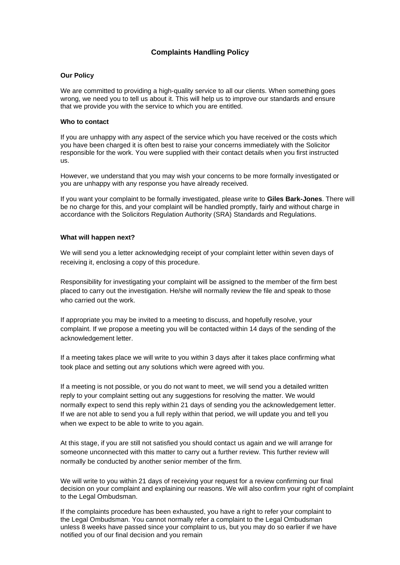## **Complaints Handling Policy**

## **Our Policy**

We are committed to providing a high-quality service to all our clients. When something goes wrong, we need you to tell us about it. This will help us to improve our standards and ensure that we provide you with the service to which you are entitled.

## **Who to contact**

If you are unhappy with any aspect of the service which you have received or the costs which you have been charged it is often best to raise your concerns immediately with the Solicitor responsible for the work. You were supplied with their contact details when you first instructed us.

However, we understand that you may wish your concerns to be more formally investigated or you are unhappy with any response you have already received.

If you want your complaint to be formally investigated, please write to **Giles Bark-Jones**. There will be no charge for this, and your complaint will be handled promptly, fairly and without charge in accordance with the Solicitors Regulation Authority (SRA) Standards and Regulations.

## **What will happen next?**

We will send you a letter acknowledging receipt of your complaint letter within seven days of receiving it, enclosing a copy of this procedure.

Responsibility for investigating your complaint will be assigned to the member of the firm best placed to carry out the investigation. He/she will normally review the file and speak to those who carried out the work.

If appropriate you may be invited to a meeting to discuss, and hopefully resolve, your complaint. If we propose a meeting you will be contacted within 14 days of the sending of the acknowledgement letter.

If a meeting takes place we will write to you within 3 days after it takes place confirming what took place and setting out any solutions which were agreed with you.

If a meeting is not possible, or you do not want to meet, we will send you a detailed written reply to your complaint setting out any suggestions for resolving the matter. We would normally expect to send this reply within 21 days of sending you the acknowledgement letter. If we are not able to send you a full reply within that period, we will update you and tell you when we expect to be able to write to you again.

At this stage, if you are still not satisfied you should contact us again and we will arrange for someone unconnected with this matter to carry out a further review. This further review will normally be conducted by another senior member of the firm.

We will write to you within 21 days of receiving your request for a review confirming our final decision on your complaint and explaining our reasons. We will also confirm your right of complaint to the Legal Ombudsman.

If the complaints procedure has been exhausted, you have a right to refer your complaint to the Legal Ombudsman. You cannot normally refer a complaint to the Legal Ombudsman unless 8 weeks have passed since your complaint to us, but you may do so earlier if we have notified you of our final decision and you remain